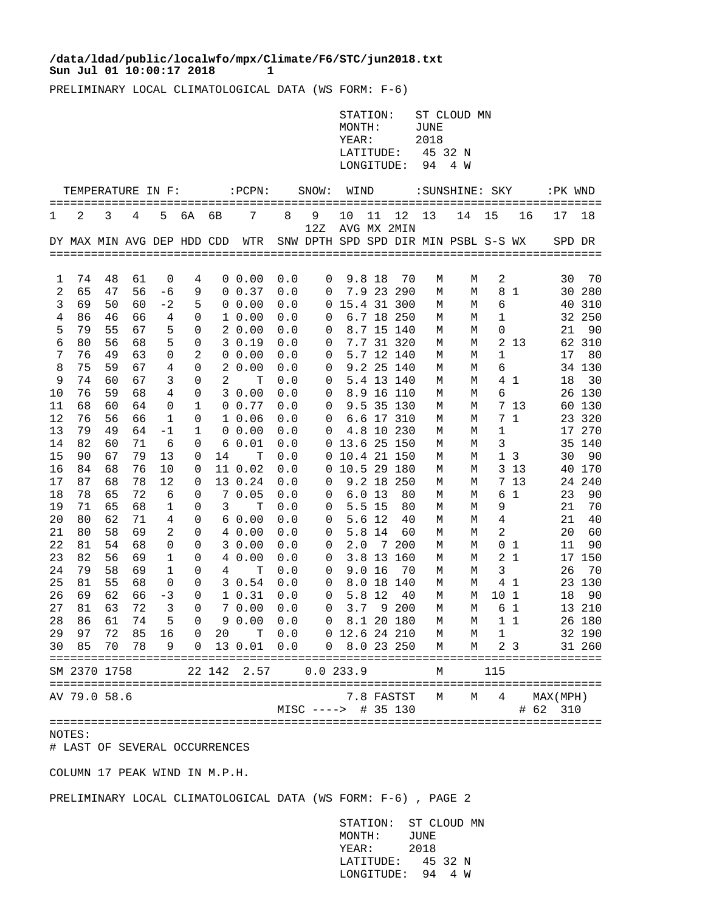## **Sun Jul 01 10:00:17 2018 1 /data/ldad/public/localwfo/mpx/Climate/F6/STC/jun2018.txt**

PRELIMINARY LOCAL CLIMATOLOGICAL DATA (WS FORM: F-6)

| STATION: ST CLOUD MN |             |  |  |
|----------------------|-------------|--|--|
| MONTH:               | <b>JUNE</b> |  |  |
| YEAR:                | 2018        |  |  |
| LATITUDE: 45 32 N    |             |  |  |
| LONGITUDE: 94 4 W    |             |  |  |

|          | TEMPERATURE IN F:          |          |          |          |              |        | :PCPN:<br>==================== |            | SNOW:                                | WIND        |          |                        |        | : SUNSHINE: SKY<br>======================== |                | ========       | :PK WND                  |          |
|----------|----------------------------|----------|----------|----------|--------------|--------|--------------------------------|------------|--------------------------------------|-------------|----------|------------------------|--------|---------------------------------------------|----------------|----------------|--------------------------|----------|
| 1        | 2                          | 3        | 4        | 5        | 6A           | 6B     | 7                              | 8          | 9<br>12Z                             | 10          | 11       | 12<br>AVG MX 2MIN      | 13     | 14                                          | 15             | 16             | 17                       | 18       |
|          | DY MAX MIN AVG DEP HDD CDD |          |          |          |              |        | WTR                            |            | SNW DPTH SPD SPD DIR MIN PSBL S-S WX |             |          |                        |        |                                             |                |                | SPD DR                   |          |
|          |                            |          |          |          |              |        |                                |            |                                      |             |          |                        |        |                                             |                |                |                          |          |
| 1        | 74                         | 48       | 61       | $\Omega$ | 4            |        | $0\;\;0.00$                    | 0.0        | 0                                    |             | 9.8 18   | 70                     | М      | М                                           | 2              |                | 30                       | 70       |
| 2        | 65                         | 47       | 56       | -6       | 9            | 0      | 0.37                           | 0.0        | 0                                    |             |          | 7.9 23 290             | М      | М                                           | 8              | 1              | 30                       | 280      |
| 3        | 69                         | 50       | 60       | $-2$     | 5            | 0      | 0.00                           | 0.0        | 0                                    | 15.4 31 300 |          |                        | М      | М                                           | 6              |                | 40                       | 310      |
| 4        | 86                         | 46       | 66       | 4        | 0            | 1      | 0.00                           | 0.0        | 0                                    |             |          | 6.7 18 250             | М      | М                                           | 1              |                | 32                       | 250      |
| 5        | 79                         | 55       | 67       | 5        | 0            | 2      | 0.00                           | 0.0        | 0                                    |             |          | 8.7 15 140             | М      | М                                           | 0              |                | 21                       | 90       |
| 6        | 80                         | 56       | 68       | 5        | 0            | 3      | 0.19                           | 0.0        | 0                                    |             | 7.7 31   | 320                    | М      | М                                           | $\overline{a}$ | 13             | 62                       | 310      |
| 7        | 76                         | 49       | 63       | 0        | 2            | 0      | 0.00                           | 0.0        | 0                                    |             |          | 5.7 12 140             | М      | М                                           | 1              |                | 17                       | 80       |
| 8        | 75                         | 59       | 67       | 4        | 0            | 2      | 0.00                           | 0.0        | 0                                    |             |          | 9.2 25 140             | М      | М                                           | 6              |                |                          | 34 130   |
| 9        | 74                         | 60       | 67       | 3        | 0            | 2      | т                              | 0.0        | 0                                    |             |          | 5.4 13 140             | М      | М                                           |                | 41             | 18                       | 30       |
| 10       | 76                         | 59       | 68       | 4        | 0            | 3      | 0.00                           | 0.0        | 0                                    |             | $8.9$ 16 | 110                    | М      | М                                           | 6              |                | 26                       | 130      |
| 11       | 68                         | 60       | 64       | 0        | 1            | 0      | 0.77                           | 0.0        | 0                                    |             | 9.5 35   | 130                    | М      | М                                           | 7              | 13             | 60                       | 130      |
| 12       | 76                         | 56       | 66       | 1        | 0            | 1      | 0.06                           | 0.0        | 0                                    |             |          | 6.6 17 310             | M      | М                                           | 7              | $\mathbf{1}$   | 23                       | 320      |
| 13       | 79                         | 49       | 64       | -1       | $\mathbf{1}$ | 0      | 0.00                           | 0.0        | 0                                    |             |          | 4.8 10 230             | M      | М                                           | 1              |                | 17                       | 270      |
| 14       | 82                         | 60       | 71       | 6        | 0            | 6      | 0.01                           | 0.0        | 0                                    | 13.6 25 150 |          |                        | М      | М                                           | 3              |                | 35                       | 140      |
| 15       | 90                         | 67       | 79       | 13       | 0            | 14     | T                              | 0.0        | 0                                    | 10.4 21 150 |          |                        | М      | M                                           |                | 1 <sub>3</sub> | 30                       | 90       |
| 16       | 84                         | 68       | 76       | 10       | 0            |        | 11 0.02                        | 0.0        | 0                                    | 10.5 29 180 |          |                        | М      | М                                           | 3              | 13             | 40                       | 170      |
| 17       | 87                         | 68       | 78       | 12       | 0            |        | 13 0.24                        | 0.0        | $\Omega$                             |             |          | 9.2 18 250             | М      | M                                           | 7              | 13             | 24                       | 240      |
| 18       | 78                         | 65       | 72       | 6        | 0            | 7      | 0.05                           | 0.0        | 0                                    | 6.0         | 13       | 80                     | М      | М                                           | 6              | 1              | 23                       | 90       |
| 19       | 71                         | 65       | 68       | 1        | 0            | 3      | т                              | 0.0        | 0                                    |             | 5.5 15   | 80                     | M      | М                                           | 9              |                | 21                       | 70       |
| 20       | 80                         | 62       | 71       | 4        | 0            | 6      | 0.00                           | 0.0        | 0                                    | 5.6         | 12       | 40                     | М      | М                                           | 4<br>2         |                | 21                       | 40       |
| 21<br>22 | 80<br>81                   | 58<br>54 | 69<br>68 | 2<br>0   | 0<br>0       | 4      | 0.00<br>30.00                  | 0.0<br>0.0 | 0<br>0                               | 5.8<br>2.0  | 14       | 60<br>7 200            | М<br>М | М<br>М                                      | $\Omega$       | $\mathbf{1}$   | 20<br>11                 | 60<br>90 |
| 23       | 82                         | 56       | 69       | 1        | 0            | 4      | 0.00                           | 0.0        | 0                                    |             |          | 3.8 13 160             | М      | М                                           | $\overline{2}$ | $\mathbf{1}$   |                          | 17 150   |
| 24       | 79                         | 58       | 69       | 1        | 0            | 4      | т                              | 0.0        | $\Omega$                             | 9.0         | 16       | 70                     | М      | М                                           | 3              |                | 26                       | 70       |
| 25       | 81                         | 55       | 68       | 0        | 0            | 3      | 0.54                           | 0.0        | 0                                    | 8.0         |          | 18 140                 | М      | М                                           | 4              | -1             | 23                       | 130      |
| 26       | 69                         | 62       | 66       | -3       | 0            | 1      | 0.31                           | 0.0        | 0                                    | 5.8         | 12       | 40                     | М      | M                                           | 10             | 1              | 18                       | 90       |
| 27       | 81                         | 63       | 72       | 3        | 0            |        | 7 0.00                         | 0.0        | 0                                    | 3.7         |          | 9 200                  | М      | М                                           | 6              | 1              | 13                       | 210      |
| 28       | 86                         | 61       | 74       | 5        | 0            | 9      | 0.00                           | 0.0        | 0                                    |             |          | 8.1 20 180             | М      | М                                           | 1              | 1              | 26                       | 180      |
| 29       | 97                         | 72       | 85       | 16       | 0            | 20     | т                              | 0.0        | $\Omega$                             | 12.6 24 210 |          |                        | М      | М                                           | 1              |                | 32                       | 190      |
| 30       | 85                         | 70       | 78       | 9        | 0            |        | 13 0.01                        | 0.0        | 0                                    |             |          | 8.0 23 250             | M      | M                                           | 2              | - 3            | 31                       | 260      |
|          | SM 2370 1758               |          |          |          |              | 22 142 | 2.57                           |            |                                      | 0.0233.9    |          |                        | М      |                                             | 115            |                |                          |          |
|          |                            |          |          |          |              |        |                                |            |                                      |             |          |                        |        |                                             |                |                |                          |          |
|          | AV 79.0 58.6               |          |          |          |              |        |                                |            | $MISC$ ---->                         |             |          | 7.8 FASTST<br># 35 130 | M      | M                                           | 4              |                | MAX (MPH)<br># 62<br>310 |          |
|          |                            |          |          |          |              |        | ============================   |            |                                      |             |          |                        |        | =====================                       |                |                |                          |          |

## NOTES:

# LAST OF SEVERAL OCCURRENCES

COLUMN 17 PEAK WIND IN M.P.H.

PRELIMINARY LOCAL CLIMATOLOGICAL DATA (WS FORM: F-6) , PAGE 2

 STATION: ST CLOUD MN MONTH: JUNE YEAR: 2018 LATITUDE: 45 32 N LONGITUDE: 94 4 W